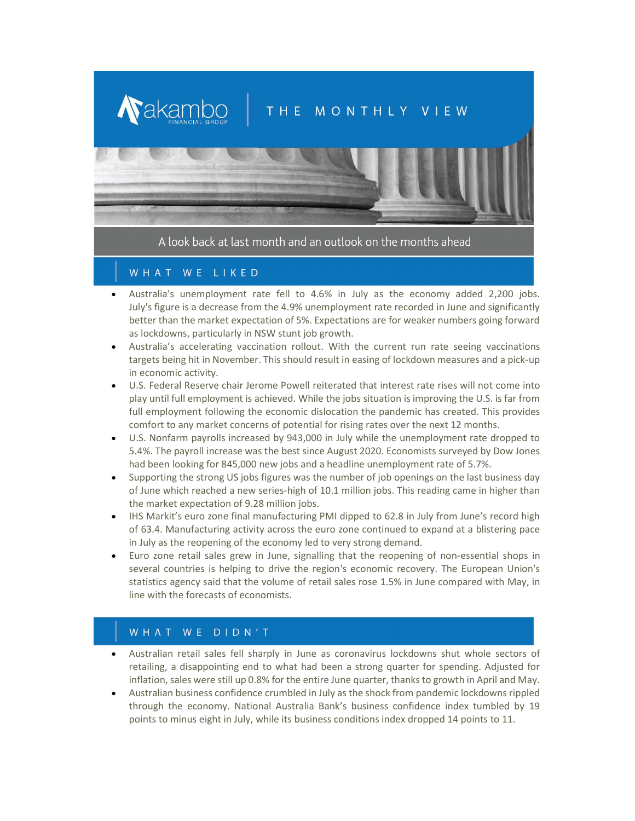

A look back at last month and an outlook on the months ahead

## WHAT WE LIKED

- Australia's unemployment rate fell to 4.6% in July as the economy added 2,200 jobs. July's figure is a decrease from the 4.9% unemployment rate recorded in June and significantly better than the market expectation of 5%. Expectations are for weaker numbers going forward as lockdowns, particularly in NSW stunt job growth.
- Australia's accelerating vaccination rollout. With the current run rate seeing vaccinations targets being hit in November. This should result in easing of lockdown measures and a pick-up in economic activity.
- U.S. Federal Reserve chair Jerome Powell reiterated that interest rate rises will not come into play until full employment is achieved. While the jobs situation is improving the U.S. is far from full employment following the economic dislocation the pandemic has created. This provides comfort to any market concerns of potential for rising rates over the next 12 months.
- U.S. Nonfarm payrolls increased by 943,000 in July while the unemployment rate dropped to 5.4%. The payroll increase was the best since August 2020. Economists surveyed by Dow Jones had been looking for 845,000 new jobs and a headline unemployment rate of 5.7%.
- Supporting the strong US jobs figures was the number of job openings on the last business day of June which reached a new series-high of 10.1 million jobs. This reading came in higher than the market expectation of 9.28 million jobs.
- IHS Markit's euro zone final manufacturing PMI dipped to 62.8 in July from June's record high of 63.4. Manufacturing activity across the euro zone continued to expand at a blistering pace in July as the reopening of the economy led to very strong demand.
- Euro zone retail sales grew in June, signalling that the reopening of non-essential shops in several countries is helping to drive the region's economic recovery. The European Union's statistics agency said that the volume of retail sales rose 1.5% in June compared with May, in line with the forecasts of economists.

## WHAT WE DIDN'T

- Australian retail sales fell sharply in June as coronavirus lockdowns shut whole sectors of retailing, a disappointing end to what had been a strong quarter for spending. Adjusted for inflation, sales were still up 0.8% for the entire June quarter, thanks to growth in April and May.
- Australian business confidence crumbled in July as the shock from pandemic lockdowns rippled through the economy. National Australia Bank's business confidence index tumbled by 19 points to minus eight in July, while its business conditions index dropped 14 points to 11.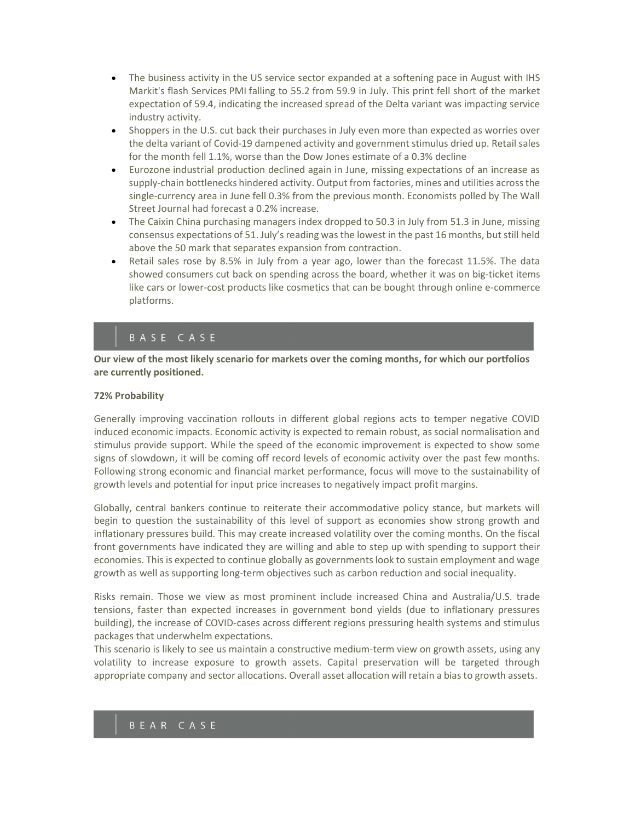- The business activity in the US service sector expanded at a softening pace in August with IHS Markit's flash Services PMI falling to 55.2 from 59.9 in July. This print fell short of the market expectation of 59.4, indicating the increased spread of the Delta variant was impacting service industry activity.
- Shoppers in the U.S. cut back their purchases in July even more than expected as worries over the delta variant of Covid-19 dampened activity and government stimulus dried up. Retail sales for the month fell 1.1%, worse than the Dow Jones estimate of a 0.3% decline
- Eurozone industrial production declined again in June, missing expectations of an increase as supply-chain bottlenecks hindered activity. Output from factories, mines and utilities across the single-currency area in June fell 0.3% from the previous month. Economists polled by The Wall Street Journal had forecast a 0.2% increase.
- The Caixin China purchasing managers index dropped to 50.3 in July from 51.3 in June, missing consensus expectations of 51. July's reading was the lowest in the past 16 months, but still held above the 50 mark that separates expansion from contraction.
- Retail sales rose by 8.5% in July from a year ago, lower than the forecast 11.5%. The data showed consumers cut back on spending across the board, whether it was on big-ticket items like cars or lower-cost products like cosmetics that can be bought through online e-commerce platforms.

## BASE CASE

Our view of the most likely scenario for markets over the coming months, for which our portfolios are currently positioned.

#### 72% Probability

Generally improving vaccination rollouts in different global regions acts to temper negative COVID induced economic impacts. Economic activity is expected to remain robust, as social normalisation and stimulus provide support. While the speed of the economic improvement is expected to show some signs of slowdown, it will be coming off record levels of economic activity over the past few months. Following strong economic and financial market performance, focus will move to the sustainability of growth levels and potential for input price increases to negatively impact profit margins.

Globally, central bankers continue to reiterate their accommodative policy stance, but markets will begin to question the sustainability of this level of support as economies show strong growth and inflationary pressures build. This may create increased volatility over the coming months. On the fiscal front governments have indicated they are willing and able to step up with spending to support their economies. This is expected to continue globally as governments look to sustain employment and wage growth as well as supporting long-term objectives such as carbon reduction and social inequality.

Risks remain. Those we view as most prominent include increased China and Australia/U.S. trade tensions, faster than expected increases in government bond yields (due to inflationary pressures building), the increase of COVID-cases across different regions pressuring health systems and stimulus packages that underwhelm expectations.

This scenario is likely to see us maintain a constructive medium-term view on growth assets, using any volatility to increase exposure to growth assets. Capital preservation will be targeted through appropriate company and sector allocations. Overall asset allocation will retain a bias to growth assets.

## BEAR CASE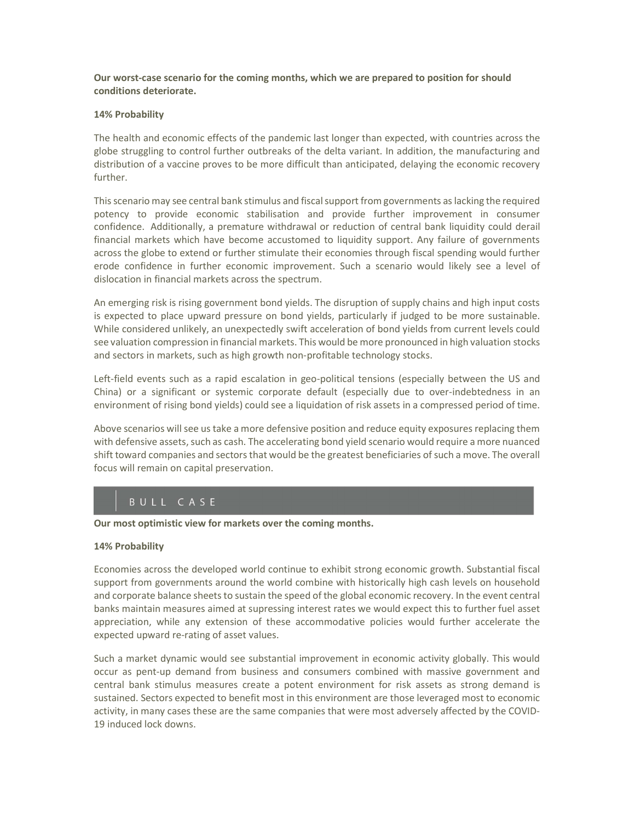Our worst-case scenario for the coming months, which we are prepared to position for should conditions deteriorate.

#### 14% Probability

The health and economic effects of the pandemic last longer than expected, with countries across the globe struggling to control further outbreaks of the delta variant. In addition, the manufacturing and distribution of a vaccine proves to be more difficult than anticipated, delaying the economic recovery further.

This scenario may see central bank stimulus and fiscal support from governments as lacking the required potency to provide economic stabilisation and provide further improvement in consumer confidence. Additionally, a premature withdrawal or reduction of central bank liquidity could derail financial markets which have become accustomed to liquidity support. Any failure of governments across the globe to extend or further stimulate their economies through fiscal spending would further erode confidence in further economic improvement. Such a scenario would likely see a level of dislocation in financial markets across the spectrum.

An emerging risk is rising government bond yields. The disruption of supply chains and high input costs is expected to place upward pressure on bond yields, particularly if judged to be more sustainable. While considered unlikely, an unexpectedly swift acceleration of bond yields from current levels could see valuation compression in financial markets. This would be more pronounced in high valuation stocks and sectors in markets, such as high growth non-profitable technology stocks.

Left-field events such as a rapid escalation in geo-political tensions (especially between the US and China) or a significant or systemic corporate default (especially due to over-indebtedness in an environment of rising bond yields) could see a liquidation of risk assets in a compressed period of time.

Above scenarios will see us take a more defensive position and reduce equity exposures replacing them with defensive assets, such as cash. The accelerating bond yield scenario would require a more nuanced shift toward companies and sectors that would be the greatest beneficiaries of such a move. The overall focus will remain on capital preservation.

# BULL CASE

Our most optimistic view for markets over the coming months.

#### 14% Probability

Economies across the developed world continue to exhibit strong economic growth. Substantial fiscal support from governments around the world combine with historically high cash levels on household and corporate balance sheets to sustain the speed of the global economic recovery. In the event central banks maintain measures aimed at supressing interest rates we would expect this to further fuel asset appreciation, while any extension of these accommodative policies would further accelerate the expected upward re-rating of asset values.

Such a market dynamic would see substantial improvement in economic activity globally. This would occur as pent-up demand from business and consumers combined with massive government and central bank stimulus measures create a potent environment for risk assets as strong demand is sustained. Sectors expected to benefit most in this environment are those leveraged most to economic activity, in many cases these are the same companies that were most adversely affected by the COVID-19 induced lock downs.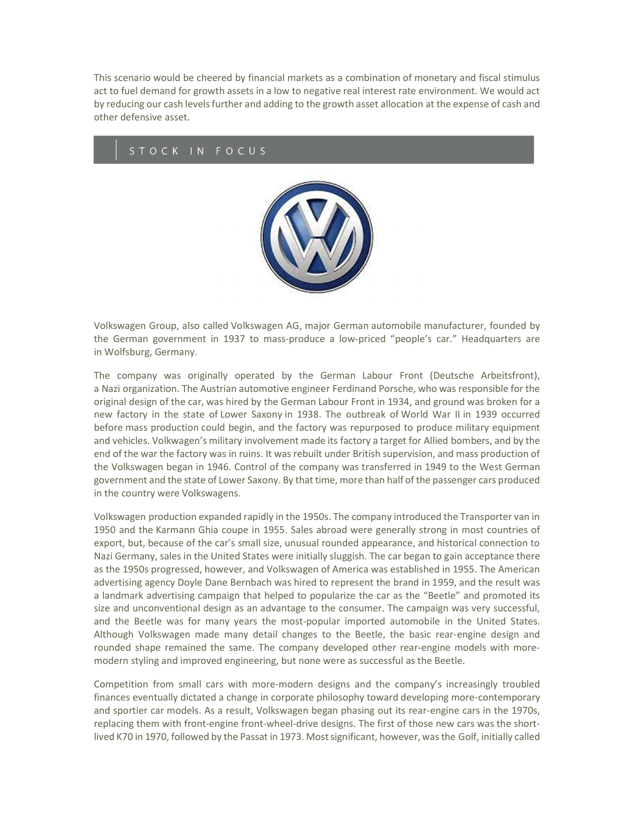This scenario would be cheered by financial markets as a combination of monetary and fiscal stimulus act to fuel demand for growth assets in a low to negative real interest rate environment. We would act by reducing our cash levels further and adding to the growth asset allocation at the expense of cash and other defensive asset.

### STOCK IN FOCUS



Volkswagen Group, also called Volkswagen AG, major German automobile manufacturer, founded by the German government in 1937 to mass-produce a low-priced "people's car." Headquarters are in Wolfsburg, Germany.

The company was originally operated by the German Labour Front (Deutsche Arbeitsfront), a Nazi organization. The Austrian automotive engineer Ferdinand Porsche, who was responsible for the original design of the car, was hired by the German Labour Front in 1934, and ground was broken for a new factory in the state of Lower Saxony in 1938. The outbreak of World War II in 1939 occurred before mass production could begin, and the factory was repurposed to produce military equipment and vehicles. Volkwagen's military involvement made its factory a target for Allied bombers, and by the end of the war the factory was in ruins. It was rebuilt under British supervision, and mass production of the Volkswagen began in 1946. Control of the company was transferred in 1949 to the West German government and the state of Lower Saxony. By that time, more than half of the passenger cars produced in the country were Volkswagens.

Volkswagen production expanded rapidly in the 1950s. The company introduced the Transporter van in 1950 and the Karmann Ghia coupe in 1955. Sales abroad were generally strong in most countries of export, but, because of the car's small size, unusual rounded appearance, and historical connection to Nazi Germany, sales in the United States were initially sluggish. The car began to gain acceptance there as the 1950s progressed, however, and Volkswagen of America was established in 1955. The American advertising agency Doyle Dane Bernbach was hired to represent the brand in 1959, and the result was a landmark advertising campaign that helped to popularize the car as the "Beetle" and promoted its size and unconventional design as an advantage to the consumer. The campaign was very successful, and the Beetle was for many years the most-popular imported automobile in the United States. Although Volkswagen made many detail changes to the Beetle, the basic rear-engine design and rounded shape remained the same. The company developed other rear-engine models with moremodern styling and improved engineering, but none were as successful as the Beetle.

Competition from small cars with more-modern designs and the company's increasingly troubled finances eventually dictated a change in corporate philosophy toward developing more-contemporary and sportier car models. As a result, Volkswagen began phasing out its rear-engine cars in the 1970s, replacing them with front-engine front-wheel-drive designs. The first of those new cars was the shortlived K70 in 1970, followed by the Passat in 1973. Most significant, however, was the Golf, initially called